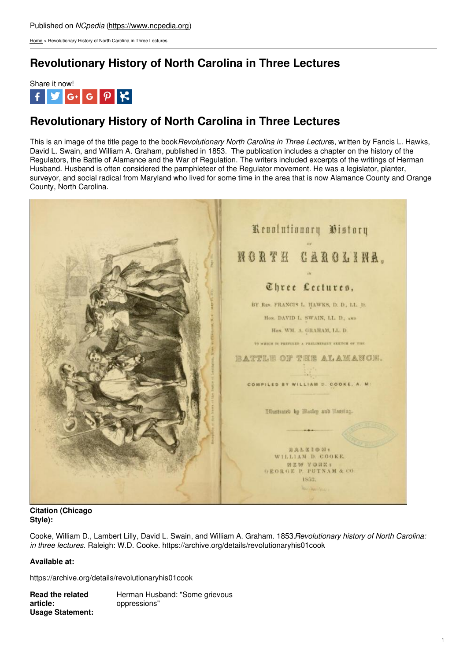[Home](https://www.ncpedia.org/) > Revolutionary History of North Carolina in Three Lectures

## **Revolutionary History of North Carolina in Three Lectures**



### **Revolutionary History of North Carolina in Three Lectures**

This is an image of the title page to the book*Revolutionary North Carolina in Three Lecture*s, written by Fancis L. Hawks, David L. Swain, and William A. Graham, published in 1853. The publication includes a chapter on the history of the Regulators, the Battle of Alamance and the War of Regulation. The writers included excerpts of the writings of Herman Husband. Husband is often considered the pamphleteer of the Regulator movement. He was a legislator, planter, surveyor, and social radical from Maryland who lived for some time in the area that is now Alamance County and Orange County, North Carolina.



#### **Citation (Chicago Style):**

Cooke, William D., Lambert Lilly, David L. Swain, and William A. Graham. 1853.*Revolutionary history of North Carolina: in three lectures*. Raleigh: W.D. Cooke. https://archive.org/details/revolutionaryhis01cook

### **Available at:**

https://archive.org/details/revolutionaryhis01cook

**Read the related article:** Herman Husband: "Some grievous oppressions" **Usage Statement:**